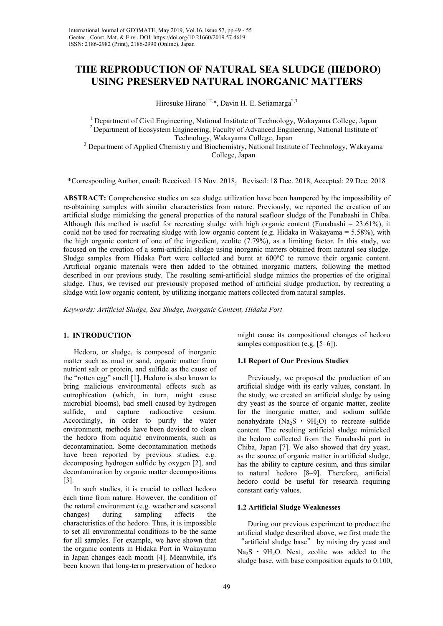# **THE REPRODUCTION OF NATURAL SEA SLUDGE (HEDORO) USING PRESERVED NATURAL INORGANIC MATTERS**

Hirosuke Hirano<sup>1,2,\*</sup>, Davin H. E. Setiamarga<sup>2,3</sup>

 $1$  Department of Civil Engineering, National Institute of Technology, Wakayama College, Japan <sup>2</sup> Department of Ecosystem Engineering, Faculty of Advanced Engineering, National Institute of Technology, Wakayama College, Japan

<sup>3</sup> Department of Applied Chemistry and Biochemistry, National Institute of Technology, Wakayama College, Japan

\*Corresponding Author, email: Received: 15 Nov. 2018, Revised: 18 Dec. 2018, Accepted: 29 Dec. 2018

**ABSTRACT:** Comprehensive studies on sea sludge utilization have been hampered by the impossibility of re-obtaining samples with similar characteristics from nature. Previously, we reported the creation of an artificial sludge mimicking the general properties of the natural seafloor sludge of the Funabashi in Chiba. Although this method is useful for recreating sludge with high organic content (Funabashi =  $23.61\%$ ), it could not be used for recreating sludge with low organic content (e.g. Hidaka in Wakayama =  $5.58\%$ ), with the high organic content of one of the ingredient, zeolite (7.79%), as a limiting factor. In this study, we focused on the creation of a semi-artificial sludge using inorganic matters obtained from natural sea sludge. Sludge samples from Hidaka Port were collected and burnt at 600ºC to remove their organic content. Artificial organic materials were then added to the obtained inorganic matters, following the method described in our previous study. The resulting semi-artificial sludge mimics the properties of the original sludge. Thus, we revised our previously proposed method of artificial sludge production, by recreating a sludge with low organic content, by utilizing inorganic matters collected from natural samples.

*Keywords: Artificial Sludge, Sea Sludge, Inorganic Content, Hidaka Port* 

#### **1. INTRODUCTION**

Hedoro, or sludge, is composed of inorganic matter such as mud or sand, organic matter from nutrient salt or protein, and sulfide as the cause of the "rotten egg" smell [1]. Hedoro is also known to bring malicious environmental effects such as eutrophication (which, in turn, might cause microbial blooms), bad smell caused by hydrogen sulfide, and capture radioactive cesium. Accordingly, in order to purify the water environment, methods have been devised to clean the hedoro from aquatic environments, such as decontamination. Some decontamination methods have been reported by previous studies, e.g. decomposing hydrogen sulfide by oxygen [2], and decontamination by organic matter decompositions [3].

In such studies, it is crucial to collect hedoro each time from nature. However, the condition of the natural environment (e.g. weather and seasonal changes) during sampling affects the characteristics of the hedoro. Thus, it is impossible to set all environmental conditions to be the same for all samples. For example, we have shown that the organic contents in Hidaka Port in Wakayama in Japan changes each month [4]. Meanwhile, it's been known that long-term preservation of hedoro

might cause its compositional changes of hedoro samples composition (e.g. [5–6]).

#### **1.1 Report of Our Previous Studies**

Previously, we proposed the production of an artificial sludge with its early values, constant. In the study, we created an artificial sludge by using dry yeast as the source of organic matter, zeolite for the inorganic matter, and sodium sulfide nonahydrate  $(Na_2S \cdot 9H_2O)$  to recreate sulfide content. The resulting artificial sludge mimicked the hedoro collected from the Funabashi port in Chiba, Japan [7]. We also showed that dry yeast, as the source of organic matter in artificial sludge, has the ability to capture cesium, and thus similar to natural hedoro [8–9]. Therefore, artificial hedoro could be useful for research requiring constant early values.

#### **1.2 Artificial Sludge Weaknesses**

During our previous experiment to produce the artificial sludge described above, we first made the "artificial sludge base" by mixing dry yeast and  $Na<sub>2</sub>S \cdot 9H<sub>2</sub>O$ . Next, zeolite was added to the sludge base, with base composition equals to 0:100,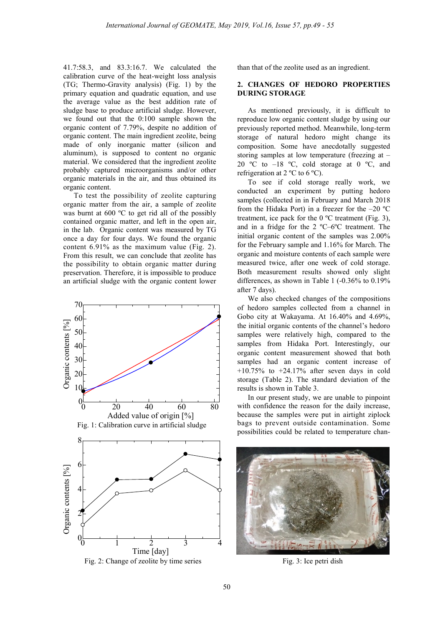41.7:58.3, and 83.3:16.7. We calculated the calibration curve of the heat-weight loss analysis (TG; Thermo-Gravity analysis) (Fig. 1) by the primary equation and quadratic equation, and use the average value as the best addition rate of sludge base to produce artificial sludge. However, we found out that the 0:100 sample shown the organic content of 7.79%, despite no addition of organic content. The main ingredient zeolite, being made of only inorganic matter (silicon and aluminum), is supposed to content no organic material. We considered that the ingredient zeolite probably captured microorganisms and/or other organic materials in the air, and thus obtained its organic content.

To test the possibility of zeolite capturing organic matter from the air, a sample of zeolite was burnt at 600 ºC to get rid all of the possibly contained organic matter, and left in the open air, in the lab. Organic content was measured by TG once a day for four days. We found the organic content 6.91% as the maximum value (Fig. 2). From this result, we can conclude that zeolite has the possibility to obtain organic matter during preservation. Therefore, it is impossible to produce an artificial sludge with the organic content lower



than that of the zeolite used as an ingredient.

### **2. CHANGES OF HEDORO PROPERTIES DURING STORAGE**

As mentioned previously, it is difficult to reproduce low organic content sludge by using our previously reported method. Meanwhile, long-term storage of natural hedoro might change its composition. Some have anecdotally suggested storing samples at low temperature (freezing at – 20 °C to  $-18$  °C, cold storage at 0 °C, and refrigeration at  $2^{\circ}$ C to 6  $^{\circ}$ C).

To see if cold storage really work, we conducted an experiment by putting hedoro samples (collected in in February and March 2018 from the Hidaka Port) in a freezer for the  $-20$  °C treatment, ice pack for the  $0^{\circ}$ C treatment (Fig. 3), and in a fridge for the 2 ºC–6ºC treatment. The initial organic content of the samples was 2.00% for the February sample and 1.16% for March. The organic and moisture contents of each sample were measured twice, after one week of cold storage. Both measurement results showed only slight differences, as shown in Table 1 (-0.36% to 0.19% after 7 days).

We also checked changes of the compositions of hedoro samples collected from a channel in Gobo city at Wakayama. At 16.40% and 4.69%, the initial organic contents of the channel's hedoro samples were relatively high, compared to the samples from Hidaka Port. Interestingly, our organic content measurement showed that both samples had an organic content increase of  $+10.75\%$  to  $+24.17\%$  after seven days in cold storage (Table 2). The standard deviation of the results is shown in Table 3.

In our present study, we are unable to pinpoint with confidence the reason for the daily increase, because the samples were put in airtight ziplock bags to prevent outside contamination. Some possibilities could be related to temperature chan-



Fig. 3: Ice petri dish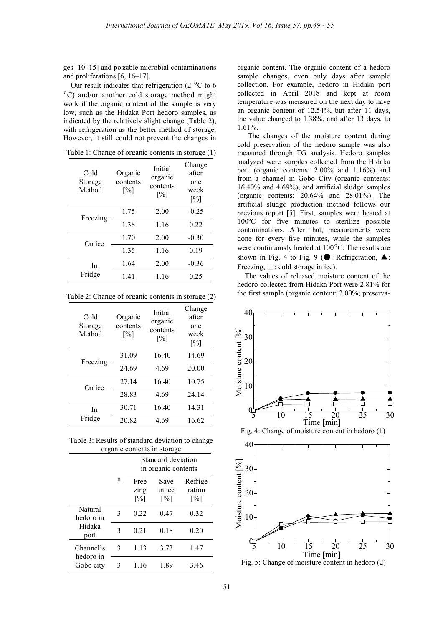ges [10–15] and possible microbial contaminations and proliferations [6, 16–17].

Our result indicates that refrigeration (2 $\degree$ C to 6  $\rm{^{\circ}C}$ ) and/or another cold storage method might work if the organic content of the sample is very low, such as the Hidaka Port hedoro samples, as indicated by the relatively slight change (Table 2), with refrigeration as the better method of storage. However, it still could not prevent the changes in

| Cold<br>Storage<br>Method | Organic<br>contents<br>$\lceil\% \rceil$ | Initial<br>organic<br>contents<br>$\lceil \% \rceil$ | Change<br>after<br>one<br>week<br>$\lceil\% \rceil$ |
|---------------------------|------------------------------------------|------------------------------------------------------|-----------------------------------------------------|
| Freezing                  | 1.75                                     | 2.00                                                 | $-0.25$                                             |
|                           | 1.38                                     | 1.16                                                 | 0.22                                                |
| On ice                    | 1.70                                     | 2.00                                                 | $-0.30$                                             |
|                           | 1.35                                     | 1.16                                                 | 0.19                                                |
| In<br>Fridge              | 1.64                                     | 2.00                                                 | $-0.36$                                             |
|                           | 1.41                                     | 1.16                                                 | 0.25                                                |

Table 1: Change of organic contents in storage (1)

Table 2: Change of organic contents in storage (2)

| Cold<br>Storage<br>Method | Organic<br>contents<br>$\lceil\% \rceil$ | Initial<br>organic<br>contents<br>$\lceil\% \rceil$ | Change<br>after<br>one<br>week<br>$\lceil\% \rceil$ |
|---------------------------|------------------------------------------|-----------------------------------------------------|-----------------------------------------------------|
|                           | 31.09                                    | 16.40                                               | 14.69                                               |
| Freezing                  | 24.69                                    | 4.69                                                | 20.00                                               |
| On ice                    | 27.14                                    | 16.40                                               | 10.75                                               |
|                           | 28.83                                    | 4.69                                                | 24.14                                               |
| In<br>Fridge              | 30.71                                    | 16.40                                               | 14.31                                               |
|                           | 20.82                                    | 4.69                                                | 16.62                                               |

Table 3: Results of standard deviation to change organic contents in storage

|                                     | Standard deviation<br>in organic contents |                                   |                                     |                                        |
|-------------------------------------|-------------------------------------------|-----------------------------------|-------------------------------------|----------------------------------------|
|                                     | n                                         | Free<br>zing<br>$\lceil\% \rceil$ | Save<br>in ice<br>$\lceil\% \rceil$ | Refrige<br>ration<br>$\lceil\% \rceil$ |
| Natural<br>hedoro in                | 3                                         | 0.22                              | 0.47                                | 0.32                                   |
| Hidaka<br>port                      | 3                                         | 0.21                              | 0.18                                | 0.20                                   |
| Channel's<br>hedoro in<br>Gobo city | 3                                         | 1.13                              | 3.73                                | 1.47                                   |
|                                     | 3                                         | 1.16                              | 189                                 | 346                                    |

organic content. The organic content of a hedoro sample changes, even only days after sample collection. For example, hedoro in Hidaka port collected in April 2018 and kept at room temperature was measured on the next day to have an organic content of 12.54%, but after 11 days, the value changed to 1.38%, and after 13 days, to 1.61%.

The changes of the moisture content during cold preservation of the hedoro sample was also measured through TG analysis. Hedoro samples analyzed were samples collected from the Hidaka port (organic contents: 2.00% and 1.16%) and from a channel in Gobo City (organic contents: 16.40% and 4.69%), and artificial sludge samples (organic contents: 20.64% and 28.01%). The artificial sludge production method follows our previous report [5]. First, samples were heated at 100ºC for five minutes to sterilize possible contaminations. After that, measurements were done for every five minutes, while the samples were continuously heated at 100ºC. The results are shown in Fig. 4 to Fig. 9 ( $\bullet$ : Refrigeration,  $\blacktriangle$ : Freezing,  $\Box$ : cold storage in ice).

The values of released moisture content of the hedoro collected from Hidaka Port were 2.81% for the first sample (organic content: 2.00%; preserva-



Fig. 5: Change of moisture content in hedoro (2)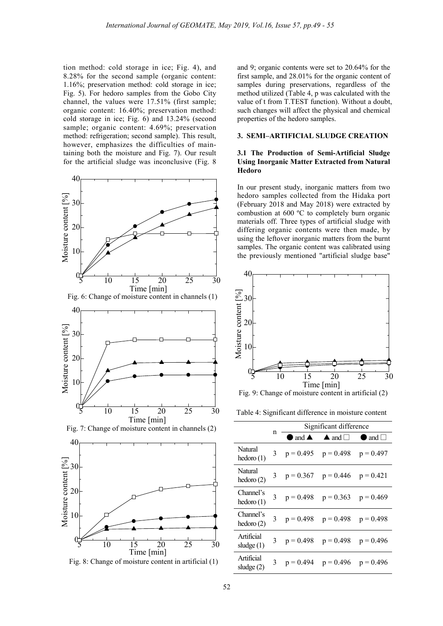tion method: cold storage in ice; Fig. 4), and 8.28% for the second sample (organic content: 1.16%; preservation method: cold storage in ice; Fig. 5). For hedoro samples from the Gobo City channel, the values were 17.51% (first sample; organic content: 16.40%; preservation method: cold storage in ice; Fig. 6) and 13.24% (second sample; organic content: 4.69%; preservation method: refrigeration; second sample). This result, however, emphasizes the difficulties of maintaining both the moisture and Fig. 7). Our result for the artificial sludge was inconclusive (Fig. 8



Fig. 8: Change of moisture content in artificial (1)

and 9; organic contents were set to 20.64% for the first sample, and 28.01% for the organic content of samples during preservations, regardless of the method utilized (Table 4, p was calculated with the value of t from T.TEST function). Without a doubt, such changes will affect the physical and chemical properties of the hedoro samples.

#### **3. SEMI–ARTIFICIAL SLUDGE CREATION**

## **3.1 The Production of Semi-Artificial Sludge Using Inorganic Matter Extracted from Natural Hedoro**

In our present study, inorganic matters from two hedoro samples collected from the Hidaka port (February 2018 and May 2018) were extracted by combustion at 600 ºC to completely burn organic materials off. Three types of artificial sludge with differing organic contents were then made, by using the leftover inorganic matters from the burnt samples. The organic content was calibrated using the previously mentioned "artificial sludge base"



Fig. 9: Change of moisture content in artificial (2)

Table 4: Significant difference in moisture content

|                            |              | Significant difference |                                                               |  |
|----------------------------|--------------|------------------------|---------------------------------------------------------------|--|
|                            | n            | and $\triangle$        | $\blacktriangle$ and $\square$ $\blacktriangle$ and $\square$ |  |
| Natural<br>hedoro(1)       |              |                        | 3 $p = 0.495$ $p = 0.498$ $p = 0.497$                         |  |
| Natural<br>hedoro(2)       |              |                        | 3 $p = 0.367$ $p = 0.446$ $p = 0.421$                         |  |
| Channel's<br>hedoro(1)     | 3            |                        | $p = 0.498$ $p = 0.363$ $p = 0.469$                           |  |
| Channel's<br>hedoro(2)     | $\mathbf{3}$ |                        | $p = 0.498$ $p = 0.498$ $p = 0.498$                           |  |
| Artificial<br>sludge $(1)$ |              |                        | 3 $p = 0.498$ $p = 0.498$ $p = 0.496$                         |  |
| Artificial<br>sludge $(2)$ |              |                        | 3 $p = 0.494$ $p = 0.496$ $p = 0.496$                         |  |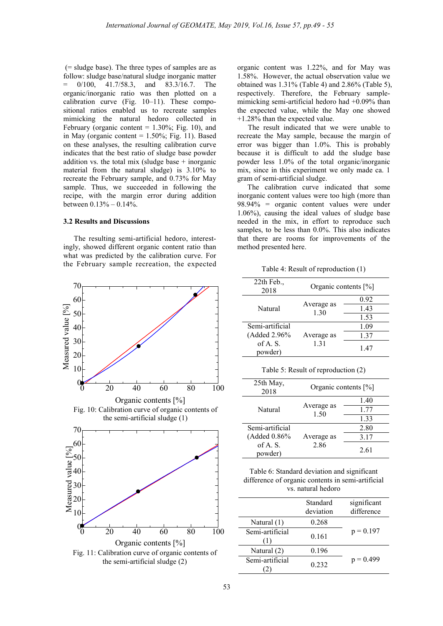(= sludge base). The three types of samples are as follow: sludge base/natural sludge inorganic matter 0/100, 41.7/58.3, and 83.3/16.7. The organic/inorganic ratio was then plotted on a calibration curve (Fig. 10–11). These compositional ratios enabled us to recreate samples mimicking the natural hedoro collected in February (organic content  $= 1.30\%$ ; Fig. 10), and in May (organic content  $= 1.50\%$ ; Fig. 11). Based on these analyses, the resulting calibration curve indicates that the best ratio of sludge base powder addition vs. the total mix (sludge base  $+$  inorganic material from the natural sludge) is 3.10% to recreate the February sample, and 0.73% for May sample. Thus, we succeeded in following the recipe, with the margin error during addition between 0.13% – 0.14%.

#### **3.2 Results and Discussions**

The resulting semi-artificial hedoro, interestingly, showed different organic content ratio than what was predicted by the calibration curve. For the February sample recreation, the expected



organic content was 1.22%, and for May was 1.58%. However, the actual observation value we obtained was 1.31% (Table 4) and 2.86% (Table 5), respectively. Therefore, the February samplemimicking semi-artificial hedoro had +0.09% than the expected value, while the May one showed +1.28% than the expected value.

The result indicated that we were unable to recreate the May sample, because the margin of error was bigger than 1.0%. This is probably because it is difficult to add the sludge base powder less 1.0% of the total organic/inorganic mix, since in this experiment we only made ca. 1 gram of semi-artificial sludge.

The calibration curve indicated that some inorganic content values were too high (more than 98.94% = organic content values were under 1.06%), causing the ideal values of sludge base needed in the mix, in effort to reproduce such samples, to be less than  $0.0\%$ . This also indicates that there are rooms for improvements of the method presented here.

Table 4: Result of reproduction (1)

| $22th$ Feb.,<br>2018 | Organic contents [%] |      |
|----------------------|----------------------|------|
| Natural              | Average as           | 0.92 |
|                      | 1.30                 | 1.43 |
|                      |                      | 1.53 |
| Semi-artificial      | Average as<br>1.31   | 1.09 |
| (Added 2.96%)        |                      | 1.37 |
| of A.S.<br>powder)   |                      | 1.47 |

Table 5: Result of reproduction (2)

| 25th May,<br>2018  | Organic contents [%] |              |  |
|--------------------|----------------------|--------------|--|
| Natural            |                      | 1.40         |  |
|                    | Average as<br>1.50   | 1.77<br>1.33 |  |
|                    |                      |              |  |
| Semi-artificial    |                      | 2.80         |  |
| (Added 0.86%)      | Average as<br>2.86   | 3.17         |  |
| of A.S.<br>powder) |                      | 2.61         |  |

Table 6: Standard deviation and significant difference of organic contents in semi-artificial vs. natural hedoro

|                 | Standard<br>deviation | significant<br>difference |
|-----------------|-----------------------|---------------------------|
| Natural $(1)$   | 0.268                 |                           |
| Semi-artificial | 0.161                 | $p = 0.197$               |
| Natural (2)     | 0.196                 |                           |
| Semi-artificial | 0 2 3 2               | $p = 0.499$               |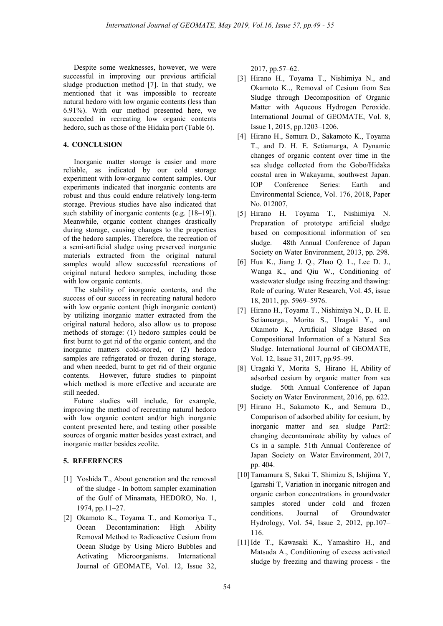Despite some weaknesses, however, we were successful in improving our previous artificial sludge production method [7]. In that study, we mentioned that it was impossible to recreate natural hedoro with low organic contents (less than 6.91%). With our method presented here, we succeeded in recreating low organic contents hedoro, such as those of the Hidaka port (Table 6).

### **4. CONCLUSION**

Inorganic matter storage is easier and more reliable, as indicated by our cold storage experiment with low-organic content samples. Our experiments indicated that inorganic contents are robust and thus could endure relatively long-term storage. Previous studies have also indicated that such stability of inorganic contents (e.g. [18–19]). Meanwhile, organic content changes drastically during storage, causing changes to the properties of the hedoro samples. Therefore, the recreation of a semi-artificial sludge using preserved inorganic materials extracted from the original natural samples would allow successful recreations of original natural hedoro samples, including those with low organic contents.

The stability of inorganic contents, and the success of our success in recreating natural hedoro with low organic content (high inorganic content) by utilizing inorganic matter extracted from the original natural hedoro, also allow us to propose methods of storage: (1) hedoro samples could be first burnt to get rid of the organic content, and the inorganic matters cold-stored, or (2) hedoro samples are refrigerated or frozen during storage, and when needed, burnt to get rid of their organic contents. However, future studies to pinpoint which method is more effective and accurate are still needed.

Future studies will include, for example, improving the method of recreating natural hedoro with low organic content and/or high inorganic content presented here, and testing other possible sources of organic matter besides yeast extract, and inorganic matter besides zeolite.

#### **5. REFERENCES**

- [1] Yoshida T., About generation and the removal of the sludge - In bottom sampler examination of the Gulf of Minamata, HEDORO, No. 1, 1974, pp.11–27.
- [2] Okamoto K., Toyama T., and Komoriya T., Ocean Decontamination: High Ability Removal Method to Radioactive Cesium from Ocean Sludge by Using Micro Bubbles and Activating Microorganisms. International Journal of GEOMATE, Vol. 12, Issue 32,

2017, pp.57–62.

- [3] Hirano H., Toyama T., Nishimiya N., and Okamoto K.., Removal of Cesium from Sea Sludge through Decomposition of Organic Matter with Aqueous Hydrogen Peroxide. International Journal of GEOMATE, Vol. 8, Issue 1, 2015, pp.1203–1206.
- [4] Hirano H., Semura D., Sakamoto K., Toyama T., and D. H. E. Setiamarga, A Dynamic changes of organic content over time in the sea sludge collected from the Gobo/Hidaka coastal area in Wakayama, southwest Japan. IOP Conference Series: Earth and Environmental Science, Vol. 176, 2018, Paper No. 012007,
- [5] Hirano H. Toyama T., Nishimiya N. Preparation of prototype artificial sludge based on compositional information of sea sludge. 48th Annual Conference of Japan Society on Water Environment, 2013, pp. 298.
- [6] Hua K., Jiang J. Q., Zhao Q. L., Lee D. J., Wanga K., and Qiu W., Conditioning of wastewater sludge using freezing and thawing: Role of curing. Water Research, Vol. 45, issue 18, 2011, pp. 5969–5976.
- [7] Hirano H., Toyama T., Nishimiya N., D. H. E. Setiamarga., Morita S., Uragaki Y., and Okamoto K., Artificial Sludge Based on Compositional Information of a Natural Sea Sludge. International Journal of GEOMATE, Vol. 12, Issue 31, 2017, pp.95–99.
- [8] Uragaki Y, Morita S, Hirano H, Ability of adsorbed cesium by organic matter from sea sludge. 50th Annual Conference of Japan Society on Water Environment, 2016, pp. 622.
- [9] Hirano H., Sakamoto K., and Semura D., Comparison of adsorbed ability for cesium, by inorganic matter and sea sludge Part2: changing decontaminate ability by values of Cs in a sample. 51th Annual Conference of Japan Society on Water Environment, 2017, pp. 404.
- [10]Tamamura S, Sakai T, Shimizu S, Ishijima Y, Igarashi T, Variation in inorganic nitrogen and organic carbon concentrations in groundwater samples stored under cold and frozen conditions. Journal of Groundwater Hydrology, Vol. 54, Issue 2, 2012, pp.107– 116.
- [11]Ide T., Kawasaki K., Yamashiro H., and Matsuda A., Conditioning of excess activated sludge by freezing and thawing process - the